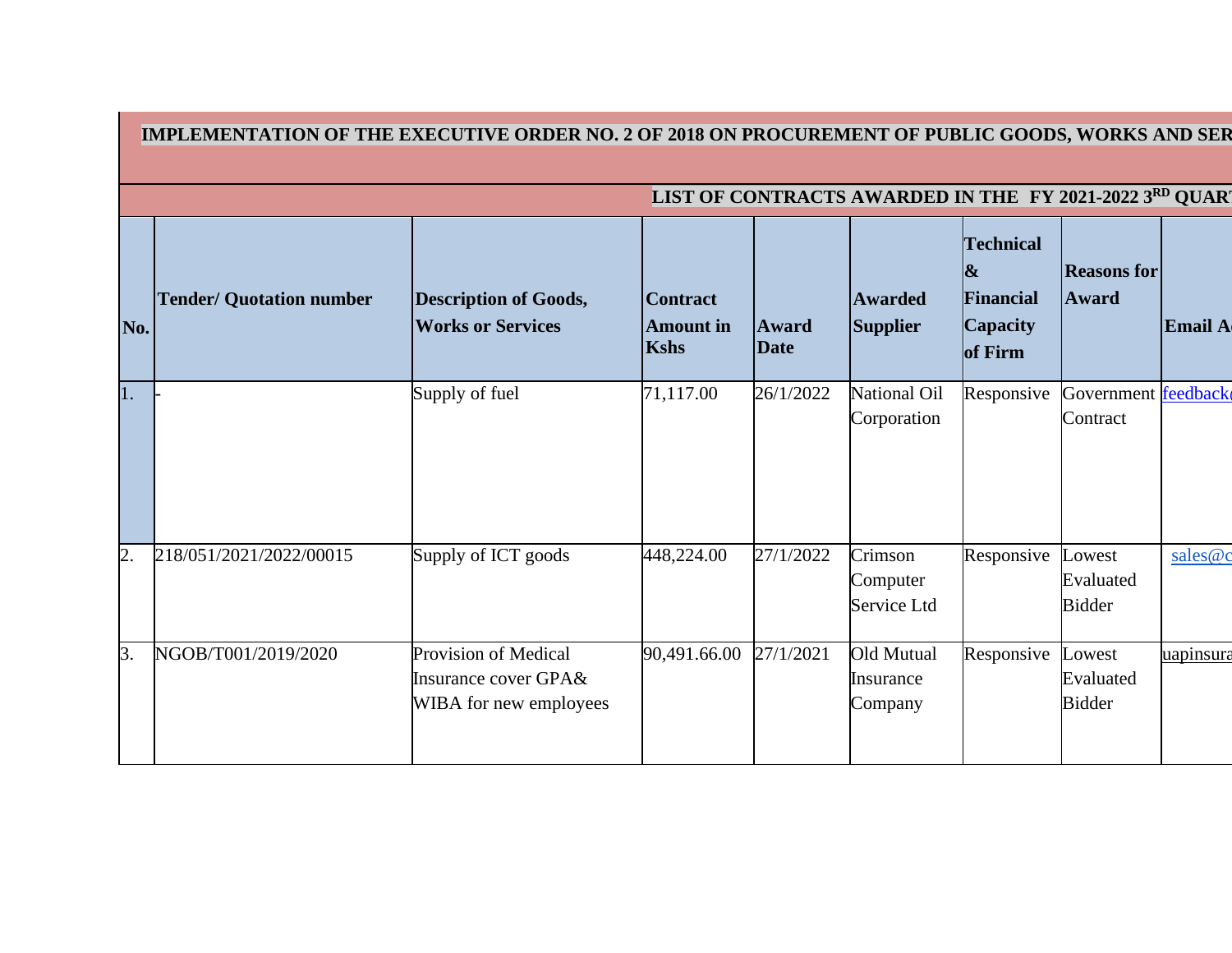|                | IMPLEMENTATION OF THE EXECUTIVE ORDER NO. 2 OF 2018 ON PROCUREMENT OF PUBLIC GOODS, WORKS AND SER |                                                                        |                                                    |                      |                                    |                                                                                  |                                      |           |  |  |  |  |
|----------------|---------------------------------------------------------------------------------------------------|------------------------------------------------------------------------|----------------------------------------------------|----------------------|------------------------------------|----------------------------------------------------------------------------------|--------------------------------------|-----------|--|--|--|--|
|                | LIST OF CONTRACTS AWARDED IN THE FY 2021-2022 3RD QUART                                           |                                                                        |                                                    |                      |                                    |                                                                                  |                                      |           |  |  |  |  |
| No.            | <b>Tender/ Quotation number</b>                                                                   | <b>Description of Goods,</b><br><b>Works or Services</b>               | <b>Contract</b><br><b>Amount</b> in<br><b>Kshs</b> | Award<br><b>Date</b> | <b>Awarded</b><br><b>Supplier</b>  | <b>Technical</b><br>$\boldsymbol{\&}$<br>Financial<br><b>Capacity</b><br>of Firm | <b>Reasons for</b><br><b>Award</b>   | Email A   |  |  |  |  |
| 1.             |                                                                                                   | Supply of fuel                                                         | 71,117.00                                          | 26/1/2022            | National Oil<br>Corporation        | Responsive                                                                       | Government feedback<br>Contract      |           |  |  |  |  |
| $\overline{2}$ | 218/051/2021/2022/00015                                                                           | Supply of ICT goods                                                    | 448,224.00                                         | 27/1/2022            | Crimson<br>Computer<br>Service Ltd | Responsive                                                                       | Lowest<br>Evaluated<br><b>Bidder</b> | sales@c   |  |  |  |  |
| 3.             | NGOB/T001/2019/2020                                                                               | Provision of Medical<br>Insurance cover GPA&<br>WIBA for new employees | 90,491.66.00                                       | 27/1/2021            | Old Mutual<br>Insurance<br>Company | Responsive                                                                       | Lowest<br>Evaluated<br><b>Bidder</b> | uapinsura |  |  |  |  |

 $\mathbf{I}$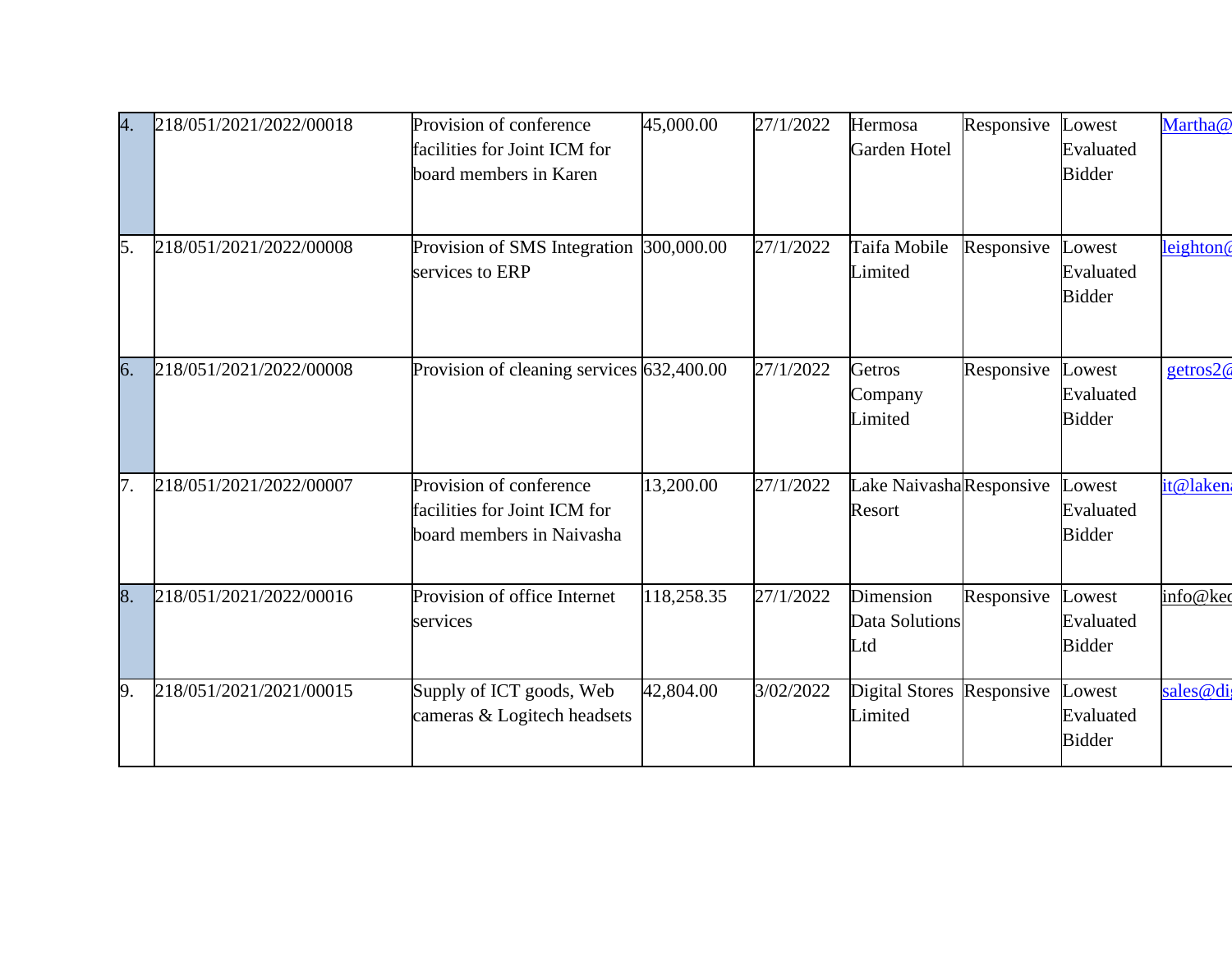| 4. | 218/051/2021/2022/00018 | Provision of conference<br>facilities for Joint ICM for<br>board members in Karen    | 45,000.00  | 27/1/2022 | Hermosa<br>Garden Hotel            | Responsive | Lowest<br>Evaluated<br><b>Bidder</b> | Martha@               |
|----|-------------------------|--------------------------------------------------------------------------------------|------------|-----------|------------------------------------|------------|--------------------------------------|-----------------------|
| 5. | 218/051/2021/2022/00008 | Provision of SMS Integration 300,000.00<br>services to ERP                           |            | 27/1/2022 | Taifa Mobile<br>Limited            | Responsive | Lowest<br>Evaluated<br><b>Bidder</b> | leighton <sup>(</sup> |
| 6. | 218/051/2021/2022/00008 | Provision of cleaning services 632,400.00                                            |            | 27/1/2022 | Getros<br>Company<br>Limited       | Responsive | Lowest<br>Evaluated<br><b>Bidder</b> | getros2@              |
| 7. | 218/051/2021/2022/00007 | Provision of conference<br>facilities for Joint ICM for<br>board members in Naivasha | 13,200.00  | 27/1/2022 | Lake NaivashaResponsive<br>Resort  |            | Lowest<br>Evaluated<br><b>Bidder</b> | it@lakena             |
| 8. | 218/051/2021/2022/00016 | Provision of office Internet<br>services                                             | 118,258.35 | 27/1/2022 | Dimension<br>Data Solutions<br>Ltd | Responsive | Lowest<br>Evaluated<br><b>Bidder</b> | info@kec              |
| 9. | 218/051/2021/2021/00015 | Supply of ICT goods, Web<br>cameras & Logitech headsets                              | 42,804.00  | 3/02/2022 | <b>Digital Stores</b><br>Limited   | Responsive | Lowest<br>Evaluated<br><b>Bidder</b> | sales@dig             |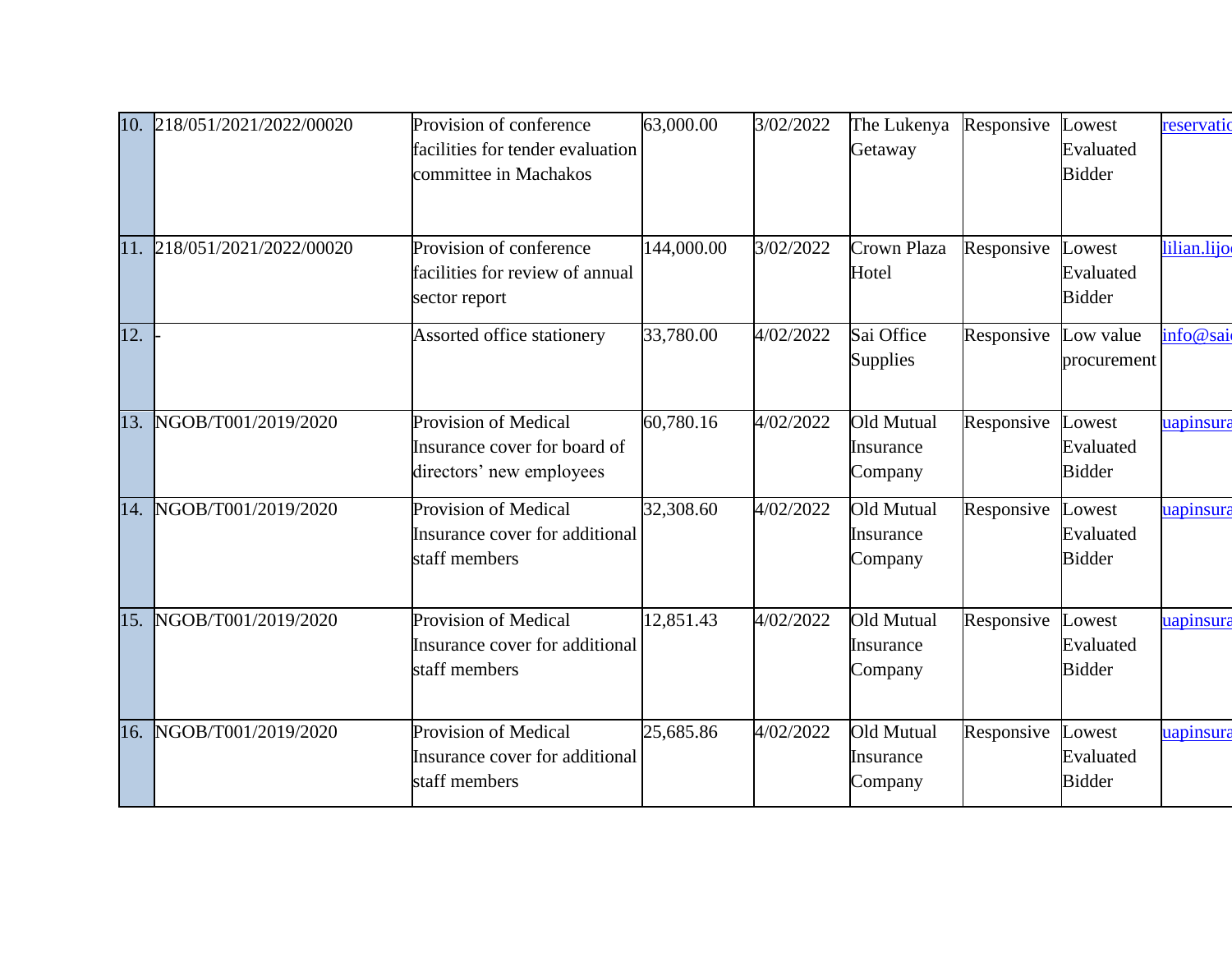|                   | 10. 218/051/2021/2022/00020 | Provision of conference<br>facilities for tender evaluation<br>committee in Machakos | 63,000.00  | 3/02/2022 | The Lukenya<br>Getaway             | Responsive | Lowest<br>Evaluated<br><b>Bidder</b> | reservatio  |
|-------------------|-----------------------------|--------------------------------------------------------------------------------------|------------|-----------|------------------------------------|------------|--------------------------------------|-------------|
|                   | 11. 218/051/2021/2022/00020 | Provision of conference<br>facilities for review of annual<br>sector report          | 144,000.00 | 3/02/2022 | Crown Plaza<br>Hotel               | Responsive | Lowest<br>Evaluated<br><b>Bidder</b> | lilian.lijo |
| $\overline{12}$ . |                             | Assorted office stationery                                                           | 33,780.00  | 4/02/2022 | Sai Office<br><b>Supplies</b>      | Responsive | Low value<br>procurement             | info@sai    |
| 13.               | NGOB/T001/2019/2020         | Provision of Medical<br>Insurance cover for board of<br>directors' new employees     | 60,780.16  | 4/02/2022 | Old Mutual<br>Insurance<br>Company | Responsive | Lowest<br>Evaluated<br><b>Bidder</b> | uapinsura   |
| 14.               | NGOB/T001/2019/2020         | <b>Provision of Medical</b><br>Insurance cover for additional<br>staff members       | 32,308.60  | 4/02/2022 | Old Mutual<br>Insurance<br>Company | Responsive | Lowest<br>Evaluated<br><b>Bidder</b> | uapinsura   |
| 15.               | NGOB/T001/2019/2020         | Provision of Medical<br>Insurance cover for additional<br>staff members              | 12,851.43  | 4/02/2022 | Old Mutual<br>Insurance<br>Company | Responsive | Lowest<br>Evaluated<br><b>Bidder</b> | uapinsura   |
| 16.               | NGOB/T001/2019/2020         | <b>Provision of Medical</b><br>Insurance cover for additional<br>staff members       | 25,685.86  | 4/02/2022 | Old Mutual<br>Insurance<br>Company | Responsive | Lowest<br>Evaluated<br><b>Bidder</b> | uapinsura   |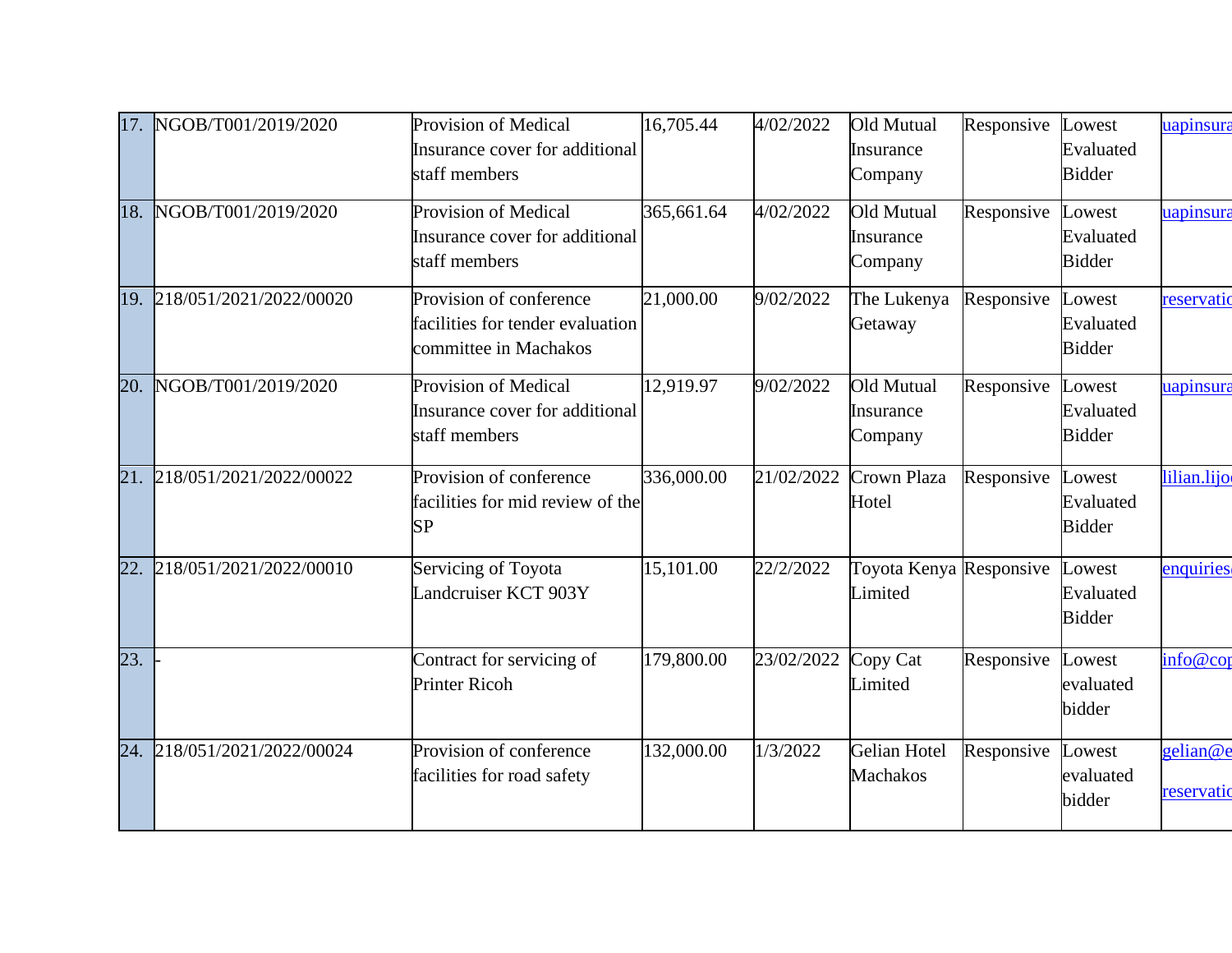|     | 17. NGOB/T001/2019/2020     | <b>Provision of Medical</b><br>Insurance cover for additional<br>staff members       | 16,705.44  | 4/02/2022  | Old Mutual<br>Insurance<br>Company        | Responsive | Lowest<br>Evaluated<br><b>Bidder</b> | uapinsura              |
|-----|-----------------------------|--------------------------------------------------------------------------------------|------------|------------|-------------------------------------------|------------|--------------------------------------|------------------------|
| 18. | NGOB/T001/2019/2020         | <b>Provision of Medical</b><br>Insurance cover for additional<br>staff members       | 365,661.64 | 4/02/2022  | Old Mutual<br>Insurance<br>Company        | Responsive | Lowest<br>Evaluated<br><b>Bidder</b> | uapinsura              |
|     | 19. 218/051/2021/2022/00020 | Provision of conference<br>facilities for tender evaluation<br>committee in Machakos | 21,000.00  | 9/02/2022  | The Lukenya<br>Getaway                    | Responsive | Lowest<br>Evaluated<br><b>Bidder</b> | reservatio             |
| 20. | NGOB/T001/2019/2020         | Provision of Medical<br>Insurance cover for additional<br>staff members              | 12,919.97  | 9/02/2022  | Old Mutual<br><i>Insurance</i><br>Company | Responsive | Lowest<br>Evaluated<br><b>Bidder</b> | uapinsura              |
|     | 21. 218/051/2021/2022/00022 | Provision of conference<br>facilities for mid review of the<br>SP                    | 336,000.00 | 21/02/2022 | Crown Plaza<br>Hotel                      | Responsive | Lowest<br>Evaluated<br><b>Bidder</b> | lilian.lijo            |
| 22. | 218/051/2021/2022/00010     | Servicing of Toyota<br>andcruiser KCT 903Y                                           | 15,101.00  | 22/2/2022  | Toyota Kenya Responsive<br>Limited        |            | Lowest<br>Evaluated<br><b>Bidder</b> | enquiries              |
| 23. |                             | Contract for servicing of<br><b>Printer Ricoh</b>                                    | 179,800.00 | 23/02/2022 | Copy Cat<br>Limited                       | Responsive | Lowest<br>evaluated<br>bidder        | info@cor               |
|     | 24. 218/051/2021/2022/00024 | Provision of conference<br>facilities for road safety                                | 132,000.00 | 1/3/2022   | <b>Gelian Hotel</b><br><b>Machakos</b>    | Responsive | Lowest<br>evaluated<br>bidder        | gelian@e<br>reservatio |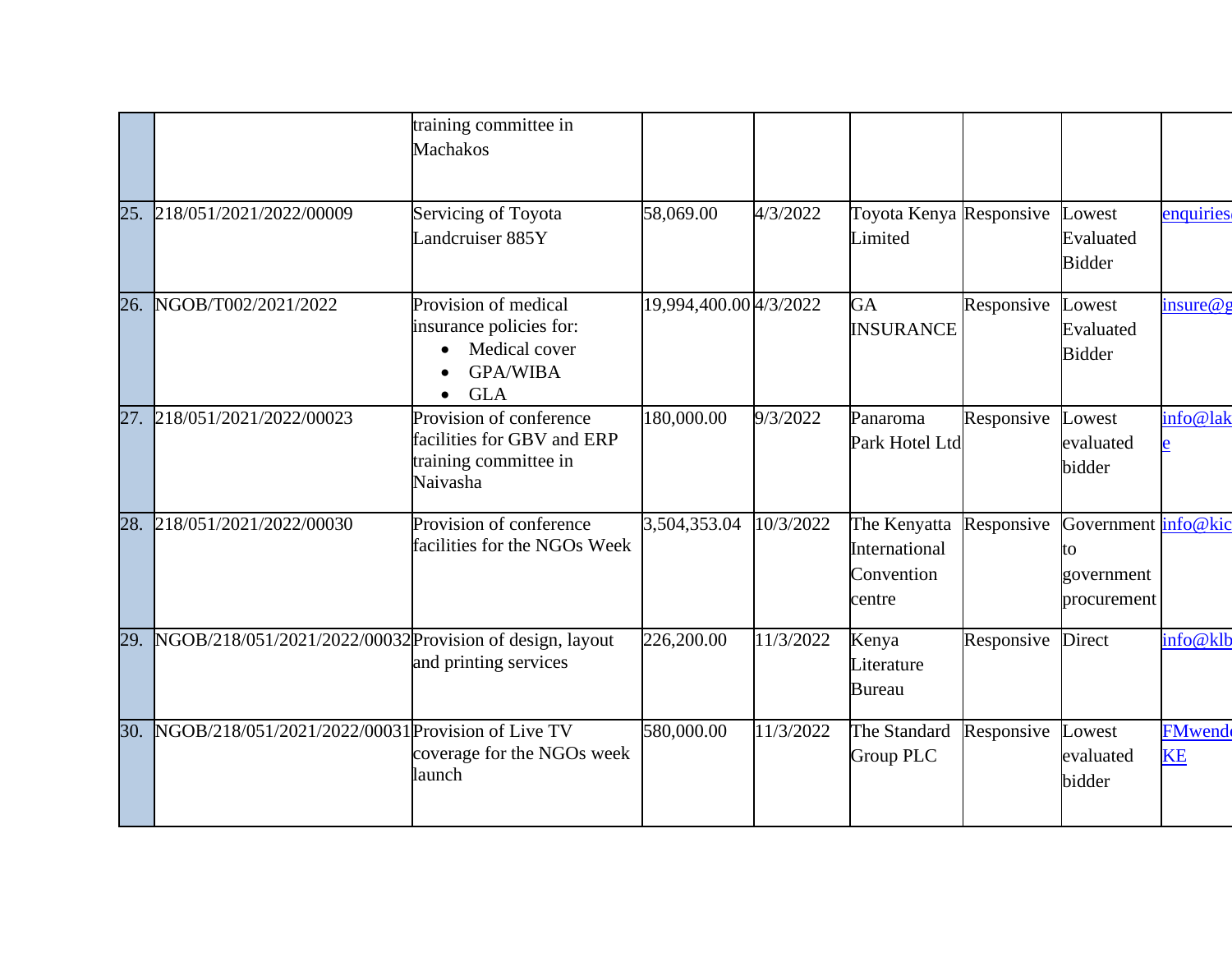|     |                                                              | training committee in<br><b>Machakos</b>                                                                       |                        |           |                                                       |            |                                                               |                            |
|-----|--------------------------------------------------------------|----------------------------------------------------------------------------------------------------------------|------------------------|-----------|-------------------------------------------------------|------------|---------------------------------------------------------------|----------------------------|
|     | 25. 218/051/2021/2022/00009                                  | Servicing of Toyota<br>Landcruiser 885Y                                                                        | 58,069.00              | 4/3/2022  | Toyota Kenya Responsive<br>Limited                    |            | Lowest<br>Evaluated<br><b>Bidder</b>                          | enquiries                  |
| 26. | NGOB/T002/2021/2022                                          | Provision of medical<br>insurance policies for:<br>Medical cover<br><b>GPA/WIBA</b><br><b>GLA</b><br>$\bullet$ | 19,994,400.00 4/3/2022 |           | GA<br><b>INSURANCE</b>                                | Responsive | <b>Lowest</b><br>Evaluated<br><b>Bidder</b>                   | insure@g                   |
|     | 27. 218/051/2021/2022/00023                                  | Provision of conference<br>facilities for GBV and ERP<br>training committee in<br>Naivasha                     | 180,000.00             | 9/3/2022  | Panaroma<br>Park Hotel Ltd                            | Responsive | Lowest<br>evaluated<br>bidder                                 | info@lak                   |
|     | 28. 218/051/2021/2022/00030                                  | Provision of conference<br>facilities for the NGOs Week                                                        | 3,504,353.04           | 10/3/2022 | The Kenyatta<br>International<br>Convention<br>centre | Responsive | Government <i>info@kic</i><br>to<br>government<br>procurement |                            |
|     | 29. NGOB/218/051/2021/2022/00032 Provision of design, layout | and printing services                                                                                          | 226,200.00             | 11/3/2022 | Kenya<br>Literature<br><b>Bureau</b>                  | Responsive | Direct                                                        | info@klb                   |
|     | 30. NGOB/218/051/2021/2022/00031 Provision of Live TV        | coverage for the NGOs week<br>launch                                                                           | 580,000.00             | 11/3/2022 | The Standard<br>Group PLC                             | Responsive | Lowest<br>evaluated<br>bidder                                 | <b>FMwend</b><br><b>KE</b> |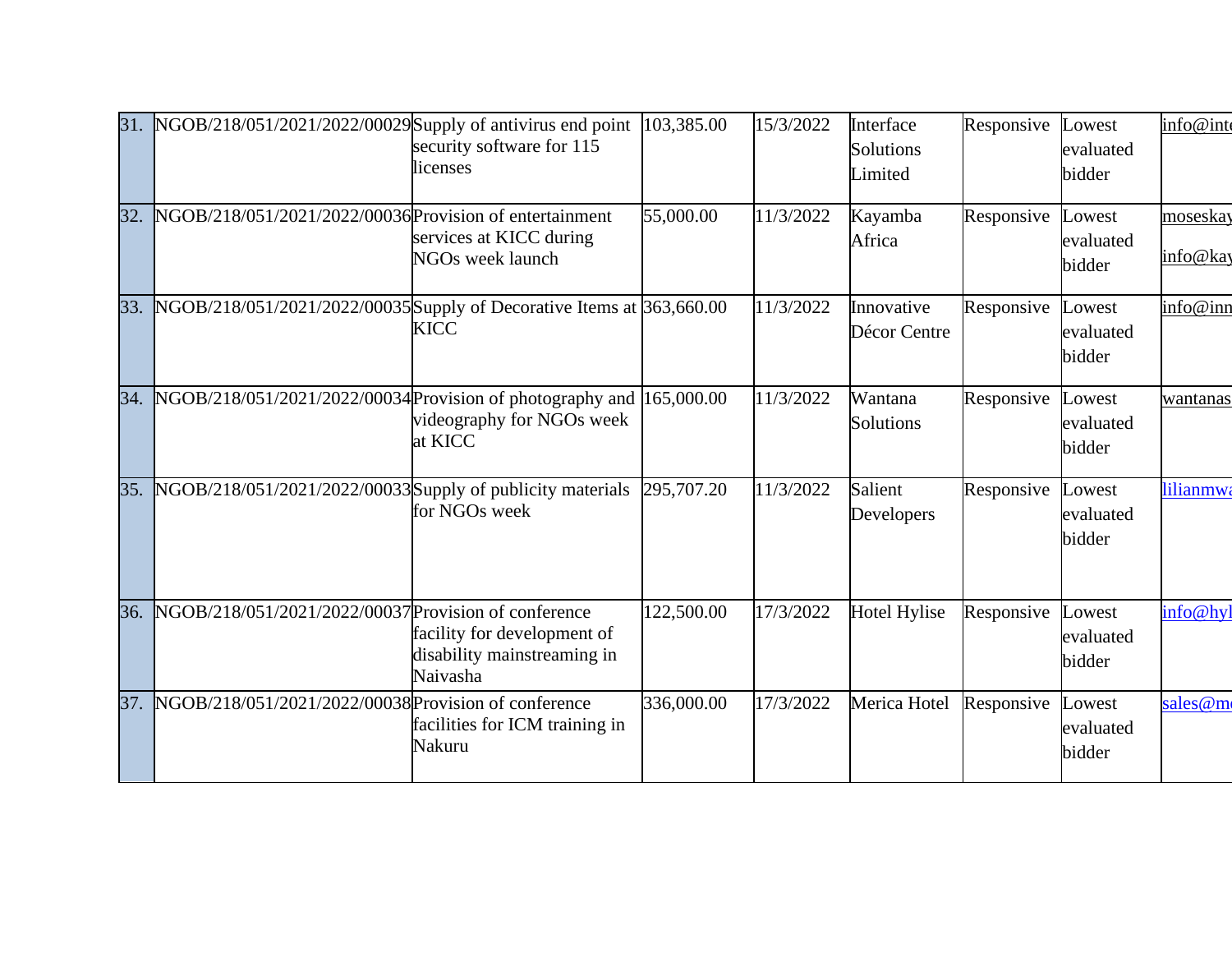| 31. | NGOB/218/051/2021/2022/00029 Supply of antivirus end point            | security software for 115<br>licenses                                  | 103,385.00 | 15/3/2022 | Interface<br>Solutions<br>Limited | Responsive | Lowest<br>evaluated<br>bidder        | info@inte            |
|-----|-----------------------------------------------------------------------|------------------------------------------------------------------------|------------|-----------|-----------------------------------|------------|--------------------------------------|----------------------|
| 32. | NGOB/218/051/2021/2022/00036 Provision of entertainment               | services at KICC during<br><b>NGOs week launch</b>                     | 55,000.00  | 11/3/2022 | Kayamba<br>Africa                 | Responsive | Lowest<br>evaluated<br>bidder        | moseskay<br>info@kay |
| 33. | NGOB/218/051/2021/2022/00035 Supply of Decorative Items at 363,660.00 | <b>KICC</b>                                                            |            | 11/3/2022 | Innovative<br>Décor Centre        | Responsive | <b>Lowest</b><br>evaluated<br>bidder | info@inn             |
| 34. | NGOB/218/051/2021/2022/00034 Provision of photography and 165,000.00  | videography for NGOs week<br>at KICC                                   |            | 11/3/2022 | Wantana<br>Solutions              | Responsive | Lowest<br>evaluated<br>bidder        | wantanas             |
| 35. | NGOB/218/051/2021/2022/00033 Supply of publicity materials            | for NGOs week                                                          | 295,707.20 | 11/3/2022 | Salient<br>Developers             | Responsive | <b>Lowest</b><br>evaluated<br>bidder | lilianmwa            |
| 36. | NGOB/218/051/2021/2022/00037 Provision of conference                  | facility for development of<br>disability mainstreaming in<br>Naivasha | 122,500.00 | 17/3/2022 | <b>Hotel Hylise</b>               | Responsive | Lowest<br>evaluated<br>bidder        | info@hyl             |
| 37. | NGOB/218/051/2021/2022/00038 Provision of conference                  | facilities for ICM training in<br>Nakuru                               | 336,000.00 | 17/3/2022 | Merica Hotel                      | Responsive | <b>Lowest</b><br>evaluated<br>bidder | sales@m              |